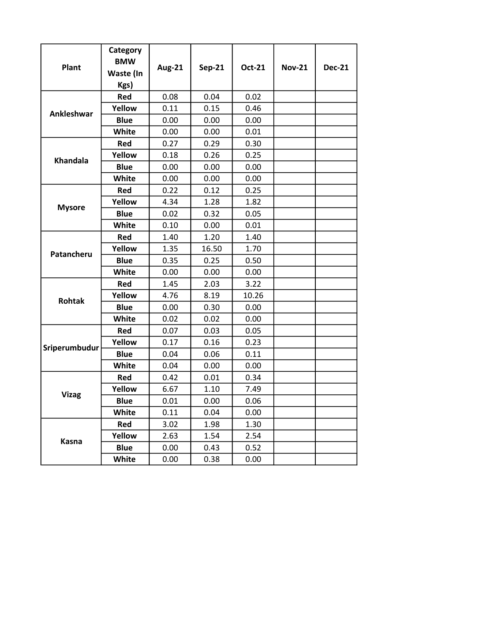| Plant         | Category    |               |               |        |               |               |
|---------------|-------------|---------------|---------------|--------|---------------|---------------|
|               | <b>BMW</b>  | <b>Aug-21</b> | <b>Sep-21</b> | Oct-21 | <b>Nov-21</b> | <b>Dec-21</b> |
|               | Waste (In   |               |               |        |               |               |
|               | Kgs)        |               |               |        |               |               |
| Ankleshwar    | Red         | 0.08          | 0.04          | 0.02   |               |               |
|               | Yellow      | 0.11          | 0.15          | 0.46   |               |               |
|               | <b>Blue</b> | 0.00          | 0.00          | 0.00   |               |               |
|               | White       | 0.00          | 0.00          | 0.01   |               |               |
| Khandala      | Red         | 0.27          | 0.29          | 0.30   |               |               |
|               | Yellow      | 0.18          | 0.26          | 0.25   |               |               |
|               | <b>Blue</b> | 0.00          | 0.00          | 0.00   |               |               |
|               | White       | 0.00          | 0.00          | 0.00   |               |               |
|               | Red         | 0.22          | 0.12          | 0.25   |               |               |
| <b>Mysore</b> | Yellow      | 4.34          | 1.28          | 1.82   |               |               |
|               | <b>Blue</b> | 0.02          | 0.32          | 0.05   |               |               |
|               | White       | 0.10          | 0.00          | 0.01   |               |               |
|               | Red         | 1.40          | 1.20          | 1.40   |               |               |
| Patancheru    | Yellow      | 1.35          | 16.50         | 1.70   |               |               |
|               | <b>Blue</b> | 0.35          | 0.25          | 0.50   |               |               |
|               | White       | 0.00          | 0.00          | 0.00   |               |               |
| <b>Rohtak</b> | Red         | 1.45          | 2.03          | 3.22   |               |               |
|               | Yellow      | 4.76          | 8.19          | 10.26  |               |               |
|               | <b>Blue</b> | 0.00          | 0.30          | 0.00   |               |               |
|               | White       | 0.02          | 0.02          | 0.00   |               |               |
| Sriperumbudur | Red         | 0.07          | 0.03          | 0.05   |               |               |
|               | Yellow      | 0.17          | 0.16          | 0.23   |               |               |
|               | <b>Blue</b> | 0.04          | 0.06          | 0.11   |               |               |
|               | White       | 0.04          | 0.00          | 0.00   |               |               |
| <b>Vizag</b>  | Red         | 0.42          | 0.01          | 0.34   |               |               |
|               | Yellow      | 6.67          | 1.10          | 7.49   |               |               |
|               | <b>Blue</b> | 0.01          | 0.00          | 0.06   |               |               |
|               | White       | 0.11          | 0.04          | 0.00   |               |               |
| Kasna         | Red         | 3.02          | 1.98          | 1.30   |               |               |
|               | Yellow      | 2.63          | 1.54          | 2.54   |               |               |
|               | <b>Blue</b> | 0.00          | 0.43          | 0.52   |               |               |
|               | White       | 0.00          | 0.38          | 0.00   |               |               |